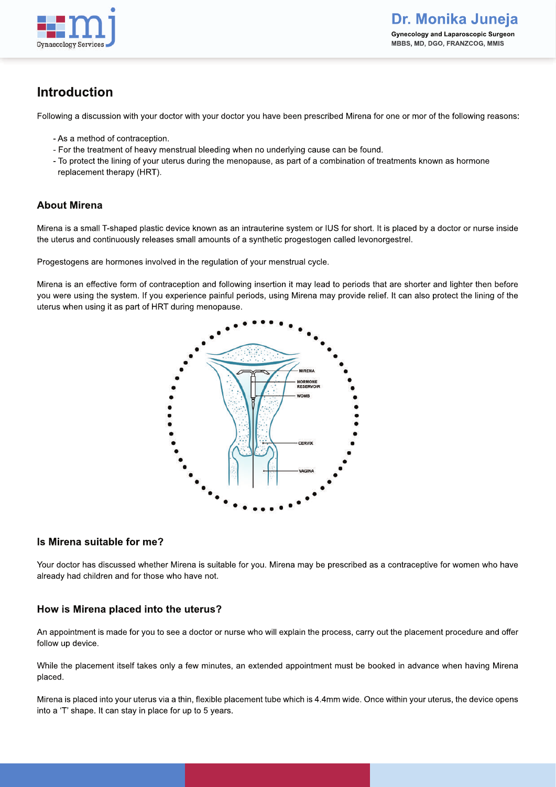

# **Introduction**

Following a discussion with your doctor with your doctor you have been prescribed Mirena for one or mor of the following reasons:

- As a method of contraception.
- For the treatment of heavy menstrual bleeding when no underlying cause can be found.
- To protect the lining of your uterus during the menopause, as part of a combination of treatments known as hormone replacement therapy (HRT).

## **About Mirena**

Mirena is a small T-shaped plastic device known as an intrauterine system or IUS for short. It is placed by a doctor or nurse inside the uterus and continuously releases small amounts of a synthetic progestogen called levonorgestrel.

Progestogens are hormones involved in the regulation of your menstrual cycle.

Mirena is an effective form of contraception and following insertion it may lead to periods that are shorter and lighter then before you were using the system. If you experience painful periods, using Mirena may provide relief. It can also protect the lining of the uterus when using it as part of HRT during menopause.



### **Is Mirena suitable for me?**

Your doctor has discussed whether Mirena is suitable for you. Mirena may be prescribed as a contraceptive for women who have already had children and for those who have not.

### **How is Mirena placed into the uterus?**

An appointment is made for you to see a doctor or nurse who will explain the process, carry out the placement procedure and offer follow up device.

While the placement itself takes only a few minutes, an extended appointment must be booked in advance when having Mirena placed.

Mirena is placed into your uterus via a thin, flexible placement tube which is 4.4mm wide. Once within your uterus, the device opens into a 'T' shape. It can stay in place for up to 5 years.